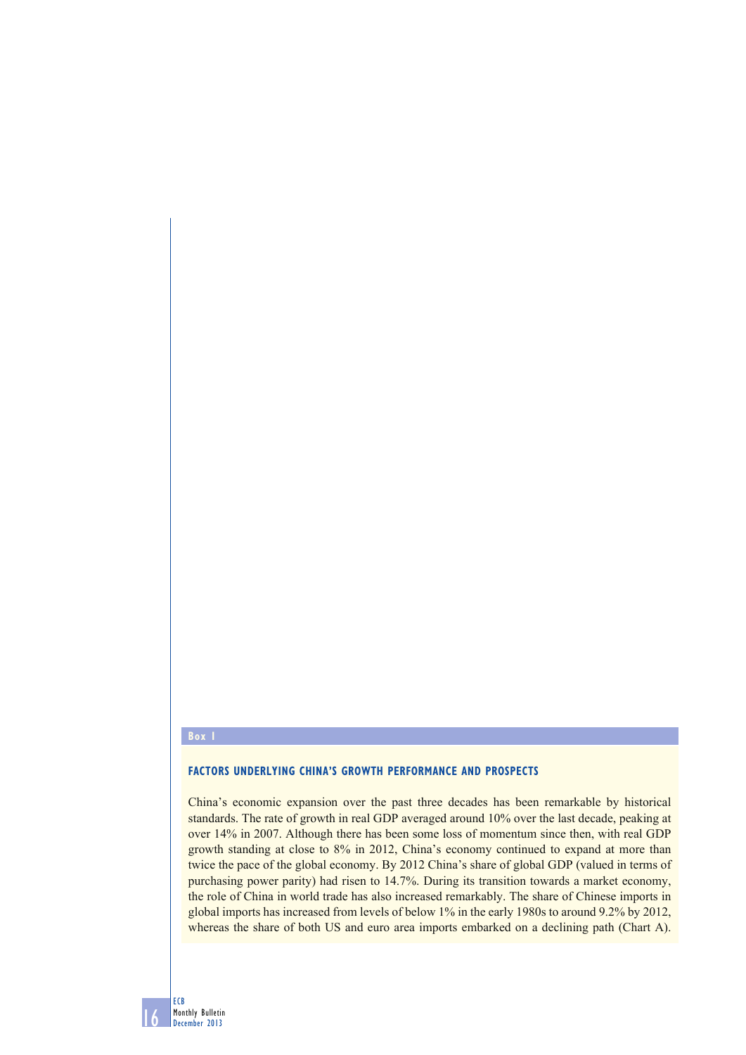#### **Box 1**

### **FACTORS UNDERLYING CHINA'S GROWTH PERFORMANCE AND PROSPECTS**

China's economic expansion over the past three decades has been remarkable by historical standards. The rate of growth in real GDP averaged around 10% over the last decade, peaking at over 14% in 2007. Although there has been some loss of momentum since then, with real GDP growth standing at close to 8% in 2012, China's economy continued to expand at more than twice the pace of the global economy. By 2012 China's share of global GDP (valued in terms of purchasing power parity) had risen to 14.7%. During its transition towards a market economy, the role of China in world trade has also increased remarkably. The share of Chinese imports in global imports has increased from levels of below 1% in the early 1980s to around 9.2% by 2012, whereas the share of both US and euro area imports embarked on a declining path (Chart A).

16 ECB Monthly Bulletin December 2013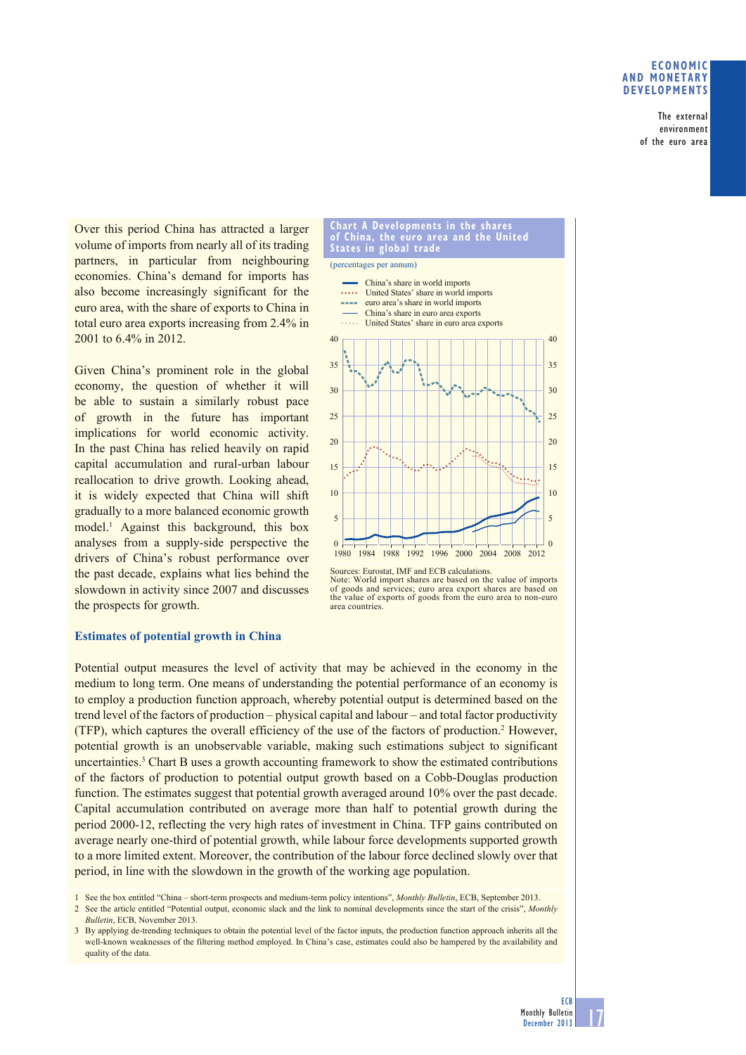# **ECONOMIC AND MONETARY DEVELOPMENTS**

The external environment of the euro area

Over this period China has attracted a larger volume of imports from nearly all of its trading partners, in particular from neighbouring economies. China's demand for imports has also become increasingly significant for the euro area, with the share of exports to China in total euro area exports increasing from 2.4% in 2001 to 6.4% in 2012.

Given China's prominent role in the global economy, the question of whether it will be able to sustain a similarly robust pace of growth in the future has important implications for world economic activity. In the past China has relied heavily on rapid capital accumulation and rural-urban labour reallocation to drive growth. Looking ahead, it is widely expected that China will shift gradually to a more balanced economic growth model.1 Against this background, this box analyses from a supply-side perspective the drivers of China's robust performance over the past decade, explains what lies behind the slowdown in activity since 2007 and discusses the prospects for growth.

# **Estimates of potential growth in China**



**Chart A Developments in the shares** 

Note: World import shares are based on the value of imports of goods and services; euro area export shares are based on the value of exports of goods from the euro area to non-euro area countries.

Potential output measures the level of activity that may be achieved in the economy in the medium to long term. One means of understanding the potential performance of an economy is to employ a production function approach, whereby potential output is determined based on the trend level of the factors of production – physical capital and labour – and total factor productivity (TFP), which captures the overall efficiency of the use of the factors of production.2 However, potential growth is an unobservable variable, making such estimations subject to significant uncertainties.<sup>3</sup> Chart B uses a growth accounting framework to show the estimated contributions of the factors of production to potential output growth based on a Cobb-Douglas production function. The estimates suggest that potential growth averaged around 10% over the past decade. Capital accumulation contributed on average more than half to potential growth during the period 2000-12, reflecting the very high rates of investment in China. TFP gains contributed on average nearly one-third of potential growth, while labour force developments supported growth to a more limited extent. Moreover, the contribution of the labour force declined slowly over that period, in line with the slowdown in the growth of the working age population.

1 See the box entitled "China – short-term prospects and medium-term policy intentions", *Monthly Bulletin*, ECB, September 2013.

2 See the article entitled "Potential output, economic slack and the link to nominal developments since the start of the crisis", *Monthly Bulletin*, ECB, November 2013.

3 By applying de-trending techniques to obtain the potential level of the factor inputs, the production function approach inherits all the well-known weaknesses of the filtering method employed. In China's case, estimates could also be hampered by the availability and quality of the data.

Sources: Eurostat, IMF and ECB calculations.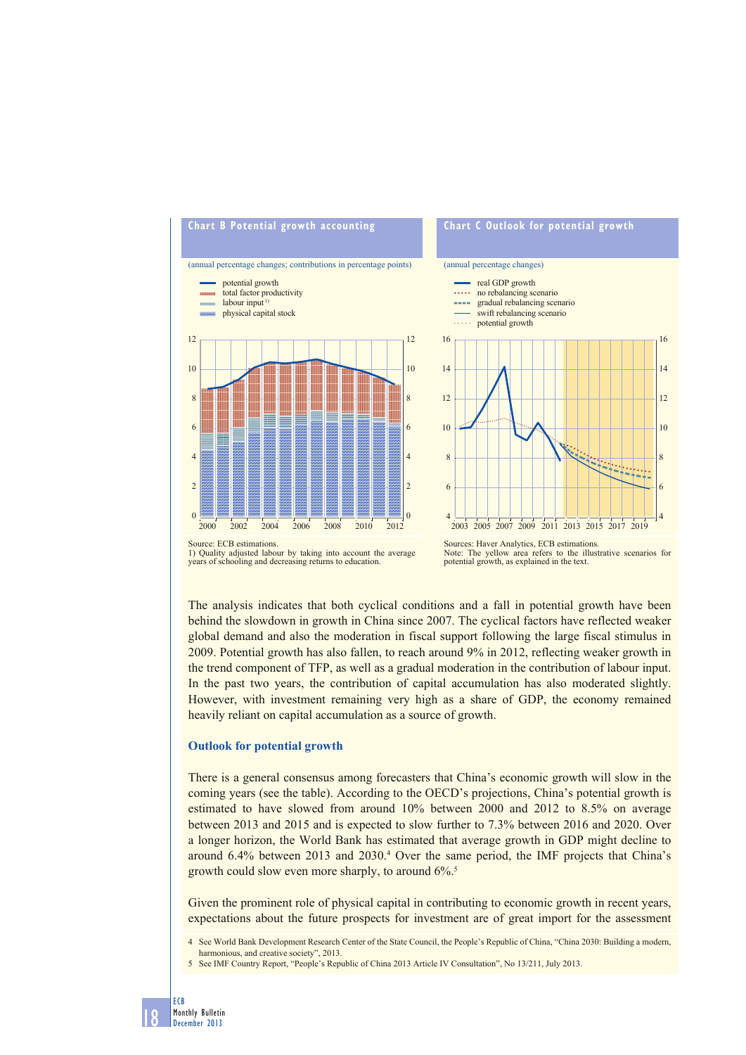

1) Quality adjusted labour by taking into account the average years of schooling and decreasing returns to education.

Note: The yellow area refers to the illustrative scenarios for potential growth, as explained in the text.

The analysis indicates that both cyclical conditions and a fall in potential growth have been behind the slowdown in growth in China since 2007. The cyclical factors have reflected weaker global demand and also the moderation in fiscal support following the large fiscal stimulus in 2009. Potential growth has also fallen, to reach around 9% in 2012, reflecting weaker growth in the trend component of TFP, as well as a gradual moderation in the contribution of labour input. In the past two years, the contribution of capital accumulation has also moderated slightly. However, with investment remaining very high as a share of GDP, the economy remained heavily reliant on capital accumulation as a source of growth.

## **Outlook for potential growth**

There is a general consensus among forecasters that China's economic growth will slow in the coming years (see the table). According to the OECD's projections, China's potential growth is estimated to have slowed from around 10% between 2000 and 2012 to 8.5% on average between 2013 and 2015 and is expected to slow further to 7.3% between 2016 and 2020. Over a longer horizon, the World Bank has estimated that average growth in GDP might decline to around 6.4% between 2013 and 2030.<sup>4</sup> Over the same period, the IMF projects that China's growth could slow even more sharply, to around 6%.5

Given the prominent role of physical capital in contributing to economic growth in recent years, expectations about the future prospects for investment are of great import for the assessment

4 See World Bank Development Research Center of the State Council, the People's Republic of China, "China 2030: Building a modern, harmonious, and creative society", 2013.

5 See IMF Country Report, "People's Republic of China 2013 Article IV Consultation", No 13/211, July 2013.